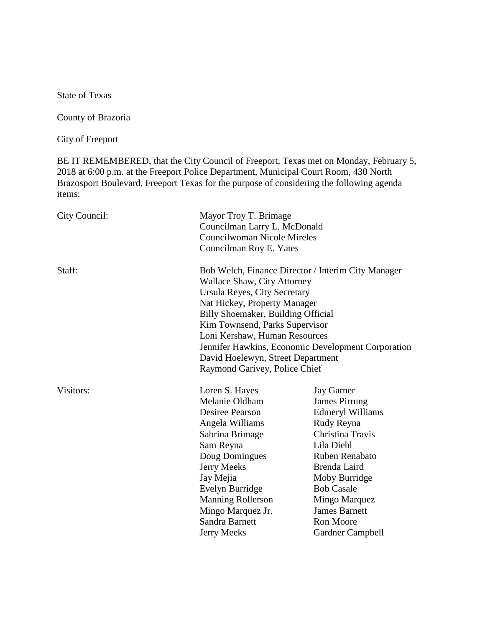State of Texas

County of Brazoria

City of Freeport

BE IT REMEMBERED, that the City Council of Freeport, Texas met on Monday, February 5, 2018 at 6:00 p.m. at the Freeport Police Department, Municipal Court Room, 430 North Brazosport Boulevard, Freeport Texas for the purpose of considering the following agenda items:

| City Council: | Mayor Troy T. Brimage<br>Councilman Larry L. McDonald<br><b>Councilwoman Nicole Mireles</b><br>Councilman Roy E. Yates                                                                                                                                                                                                                                                                        |                                                                                                                                                                                                                                                                                      |
|---------------|-----------------------------------------------------------------------------------------------------------------------------------------------------------------------------------------------------------------------------------------------------------------------------------------------------------------------------------------------------------------------------------------------|--------------------------------------------------------------------------------------------------------------------------------------------------------------------------------------------------------------------------------------------------------------------------------------|
| Staff:        | Bob Welch, Finance Director / Interim City Manager<br><b>Wallace Shaw, City Attorney</b><br>Ursula Reyes, City Secretary<br>Nat Hickey, Property Manager<br>Billy Shoemaker, Building Official<br>Kim Townsend, Parks Supervisor<br>Loni Kershaw, Human Resources<br>Jennifer Hawkins, Economic Development Corporation<br>David Hoelewyn, Street Department<br>Raymond Garivey, Police Chief |                                                                                                                                                                                                                                                                                      |
| Visitors:     | Loren S. Hayes<br>Melanie Oldham<br>Desiree Pearson<br>Angela Williams<br>Sabrina Brimage<br>Sam Reyna<br>Doug Domingues<br>Jerry Meeks<br>Jay Mejia<br>Evelyn Burridge<br><b>Manning Rollerson</b><br>Mingo Marquez Jr.<br>Sandra Barnett<br><b>Jerry Meeks</b>                                                                                                                              | <b>Jay Garner</b><br><b>James Pirrung</b><br><b>Edmeryl Williams</b><br>Rudy Reyna<br>Christina Travis<br>Lila Diehl<br>Ruben Renabato<br>Brenda Laird<br>Moby Burridge<br><b>Bob Casale</b><br>Mingo Marquez<br><b>James Barnett</b><br><b>Ron Moore</b><br><b>Gardner Campbell</b> |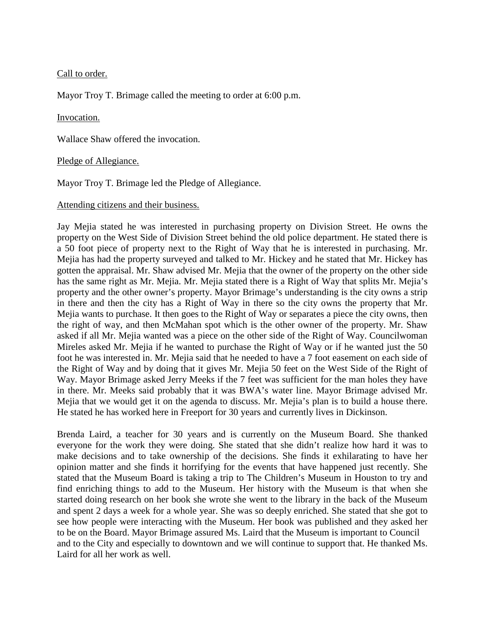Call to order.

Mayor Troy T. Brimage called the meeting to order at 6:00 p.m.

#### Invocation.

Wallace Shaw offered the invocation.

#### Pledge of Allegiance.

Mayor Troy T. Brimage led the Pledge of Allegiance.

#### Attending citizens and their business.

Jay Mejia stated he was interested in purchasing property on Division Street. He owns the property on the West Side of Division Street behind the old police department. He stated there is a 50 foot piece of property next to the Right of Way that he is interested in purchasing. Mr. Mejia has had the property surveyed and talked to Mr. Hickey and he stated that Mr. Hickey has gotten the appraisal. Mr. Shaw advised Mr. Mejia that the owner of the property on the other side has the same right as Mr. Mejia. Mr. Mejia stated there is a Right of Way that splits Mr. Mejia's property and the other owner's property. Mayor Brimage's understanding is the city owns a strip in there and then the city has a Right of Way in there so the city owns the property that Mr. Mejia wants to purchase. It then goes to the Right of Way or separates a piece the city owns, then the right of way, and then McMahan spot which is the other owner of the property. Mr. Shaw asked if all Mr. Mejia wanted was a piece on the other side of the Right of Way. Councilwoman Mireles asked Mr. Mejia if he wanted to purchase the Right of Way or if he wanted just the 50 foot he was interested in. Mr. Mejia said that he needed to have a 7 foot easement on each side of the Right of Way and by doing that it gives Mr. Mejia 50 feet on the West Side of the Right of Way. Mayor Brimage asked Jerry Meeks if the 7 feet was sufficient for the man holes they have in there. Mr. Meeks said probably that it was BWA's water line. Mayor Brimage advised Mr. Mejia that we would get it on the agenda to discuss. Mr. Mejia's plan is to build a house there. He stated he has worked here in Freeport for 30 years and currently lives in Dickinson.

Brenda Laird, a teacher for 30 years and is currently on the Museum Board. She thanked everyone for the work they were doing. She stated that she didn't realize how hard it was to make decisions and to take ownership of the decisions. She finds it exhilarating to have her opinion matter and she finds it horrifying for the events that have happened just recently. She stated that the Museum Board is taking a trip to The Children's Museum in Houston to try and find enriching things to add to the Museum. Her history with the Museum is that when she started doing research on her book she wrote she went to the library in the back of the Museum and spent 2 days a week for a whole year. She was so deeply enriched. She stated that she got to see how people were interacting with the Museum. Her book was published and they asked her to be on the Board. Mayor Brimage assured Ms. Laird that the Museum is important to Council and to the City and especially to downtown and we will continue to support that. He thanked Ms. Laird for all her work as well.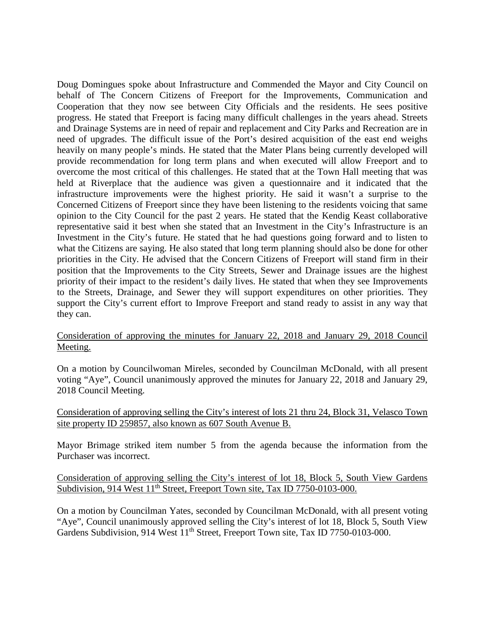Doug Domingues spoke about Infrastructure and Commended the Mayor and City Council on behalf of The Concern Citizens of Freeport for the Improvements, Communication and Cooperation that they now see between City Officials and the residents. He sees positive progress. He stated that Freeport is facing many difficult challenges in the years ahead. Streets and Drainage Systems are in need of repair and replacement and City Parks and Recreation are in need of upgrades. The difficult issue of the Port's desired acquisition of the east end weighs heavily on many people's minds. He stated that the Mater Plans being currently developed will provide recommendation for long term plans and when executed will allow Freeport and to overcome the most critical of this challenges. He stated that at the Town Hall meeting that was held at Riverplace that the audience was given a questionnaire and it indicated that the infrastructure improvements were the highest priority. He said it wasn't a surprise to the Concerned Citizens of Freeport since they have been listening to the residents voicing that same opinion to the City Council for the past 2 years. He stated that the Kendig Keast collaborative representative said it best when she stated that an Investment in the City's Infrastructure is an Investment in the City's future. He stated that he had questions going forward and to listen to what the Citizens are saying. He also stated that long term planning should also be done for other priorities in the City. He advised that the Concern Citizens of Freeport will stand firm in their position that the Improvements to the City Streets, Sewer and Drainage issues are the highest priority of their impact to the resident's daily lives. He stated that when they see Improvements to the Streets, Drainage, and Sewer they will support expenditures on other priorities. They support the City's current effort to Improve Freeport and stand ready to assist in any way that they can.

### Consideration of approving the minutes for January 22, 2018 and January 29, 2018 Council Meeting.

On a motion by Councilwoman Mireles, seconded by Councilman McDonald, with all present voting "Aye", Council unanimously approved the minutes for January 22, 2018 and January 29, 2018 Council Meeting.

Consideration of approving selling the City's interest of lots 21 thru 24, Block 31, Velasco Town site property ID 259857, also known as 607 South Avenue B.

Mayor Brimage striked item number 5 from the agenda because the information from the Purchaser was incorrect.

Consideration of approving selling the City's interest of lot 18, Block 5, South View Gardens Subdivision, 914 West 11<sup>th</sup> Street, Freeport Town site, Tax ID 7750-0103-000.

On a motion by Councilman Yates, seconded by Councilman McDonald, with all present voting "Aye", Council unanimously approved selling the City's interest of lot 18, Block 5, South View Gardens Subdivision, 914 West 11<sup>th</sup> Street, Freeport Town site, Tax ID 7750-0103-000.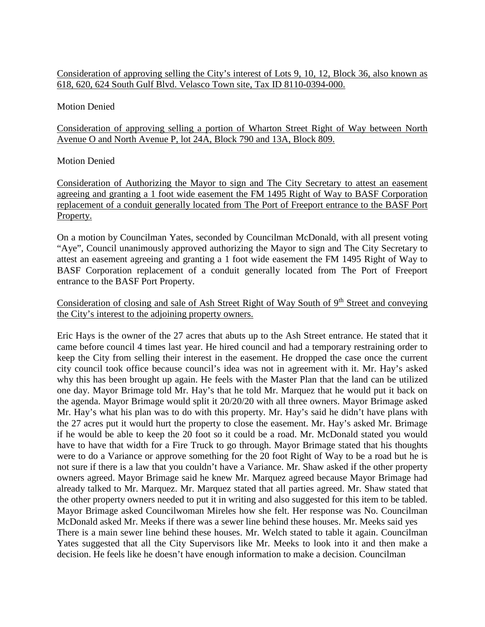# Consideration of approving selling the City's interest of Lots 9, 10, 12, Block 36, also known as 618, 620, 624 South Gulf Blvd. Velasco Town site, Tax ID 8110-0394-000.

## Motion Denied

Consideration of approving selling a portion of Wharton Street Right of Way between North Avenue O and North Avenue P, lot 24A, Block 790 and 13A, Block 809.

## Motion Denied

Consideration of Authorizing the Mayor to sign and The City Secretary to attest an easement agreeing and granting a 1 foot wide easement the FM 1495 Right of Way to BASF Corporation replacement of a conduit generally located from The Port of Freeport entrance to the BASF Port Property.

On a motion by Councilman Yates, seconded by Councilman McDonald, with all present voting "Aye", Council unanimously approved authorizing the Mayor to sign and The City Secretary to attest an easement agreeing and granting a 1 foot wide easement the FM 1495 Right of Way to BASF Corporation replacement of a conduit generally located from The Port of Freeport entrance to the BASF Port Property.

# Consideration of closing and sale of Ash Street Right of Way South of 9<sup>th</sup> Street and conveying the City's interest to the adjoining property owners.

Eric Hays is the owner of the 27 acres that abuts up to the Ash Street entrance. He stated that it came before council 4 times last year. He hired council and had a temporary restraining order to keep the City from selling their interest in the easement. He dropped the case once the current city council took office because council's idea was not in agreement with it. Mr. Hay's asked why this has been brought up again. He feels with the Master Plan that the land can be utilized one day. Mayor Brimage told Mr. Hay's that he told Mr. Marquez that he would put it back on the agenda. Mayor Brimage would split it 20/20/20 with all three owners. Mayor Brimage asked Mr. Hay's what his plan was to do with this property. Mr. Hay's said he didn't have plans with the 27 acres put it would hurt the property to close the easement. Mr. Hay's asked Mr. Brimage if he would be able to keep the 20 foot so it could be a road. Mr. McDonald stated you would have to have that width for a Fire Truck to go through. Mayor Brimage stated that his thoughts were to do a Variance or approve something for the 20 foot Right of Way to be a road but he is not sure if there is a law that you couldn't have a Variance. Mr. Shaw asked if the other property owners agreed. Mayor Brimage said he knew Mr. Marquez agreed because Mayor Brimage had already talked to Mr. Marquez. Mr. Marquez stated that all parties agreed. Mr. Shaw stated that the other property owners needed to put it in writing and also suggested for this item to be tabled. Mayor Brimage asked Councilwoman Mireles how she felt. Her response was No. Councilman McDonald asked Mr. Meeks if there was a sewer line behind these houses. Mr. Meeks said yes There is a main sewer line behind these houses. Mr. Welch stated to table it again. Councilman Yates suggested that all the City Supervisors like Mr. Meeks to look into it and then make a decision. He feels like he doesn't have enough information to make a decision. Councilman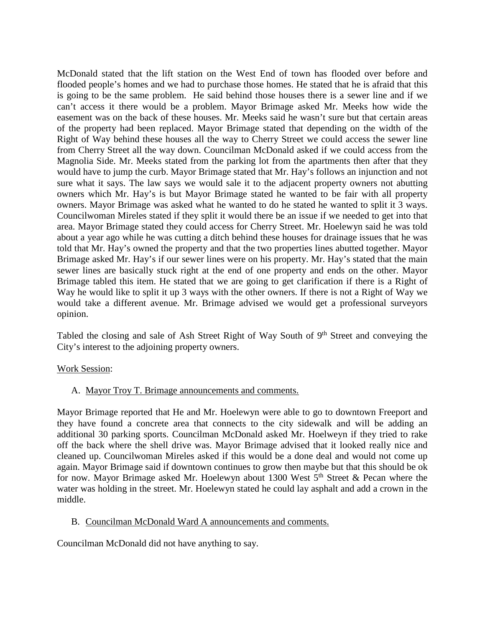McDonald stated that the lift station on the West End of town has flooded over before and flooded people's homes and we had to purchase those homes. He stated that he is afraid that this is going to be the same problem. He said behind those houses there is a sewer line and if we can't access it there would be a problem. Mayor Brimage asked Mr. Meeks how wide the easement was on the back of these houses. Mr. Meeks said he wasn't sure but that certain areas of the property had been replaced. Mayor Brimage stated that depending on the width of the Right of Way behind these houses all the way to Cherry Street we could access the sewer line from Cherry Street all the way down. Councilman McDonald asked if we could access from the Magnolia Side. Mr. Meeks stated from the parking lot from the apartments then after that they would have to jump the curb. Mayor Brimage stated that Mr. Hay's follows an injunction and not sure what it says. The law says we would sale it to the adjacent property owners not abutting owners which Mr. Hay's is but Mayor Brimage stated he wanted to be fair with all property owners. Mayor Brimage was asked what he wanted to do he stated he wanted to split it 3 ways. Councilwoman Mireles stated if they split it would there be an issue if we needed to get into that area. Mayor Brimage stated they could access for Cherry Street. Mr. Hoelewyn said he was told about a year ago while he was cutting a ditch behind these houses for drainage issues that he was told that Mr. Hay's owned the property and that the two properties lines abutted together. Mayor Brimage asked Mr. Hay's if our sewer lines were on his property. Mr. Hay's stated that the main sewer lines are basically stuck right at the end of one property and ends on the other. Mayor Brimage tabled this item. He stated that we are going to get clarification if there is a Right of Way he would like to split it up 3 ways with the other owners. If there is not a Right of Way we would take a different avenue. Mr. Brimage advised we would get a professional surveyors opinion.

Tabled the closing and sale of Ash Street Right of Way South of 9<sup>th</sup> Street and conveying the City's interest to the adjoining property owners.

#### Work Session:

A. Mayor Troy T. Brimage announcements and comments.

Mayor Brimage reported that He and Mr. Hoelewyn were able to go to downtown Freeport and they have found a concrete area that connects to the city sidewalk and will be adding an additional 30 parking sports. Councilman McDonald asked Mr. Hoelweyn if they tried to rake off the back where the shell drive was. Mayor Brimage advised that it looked really nice and cleaned up. Councilwoman Mireles asked if this would be a done deal and would not come up again. Mayor Brimage said if downtown continues to grow then maybe but that this should be ok for now. Mayor Brimage asked Mr. Hoelewyn about 1300 West  $5<sup>th</sup>$  Street & Pecan where the water was holding in the street. Mr. Hoelewyn stated he could lay asphalt and add a crown in the middle.

#### B. Councilman McDonald Ward A announcements and comments.

Councilman McDonald did not have anything to say.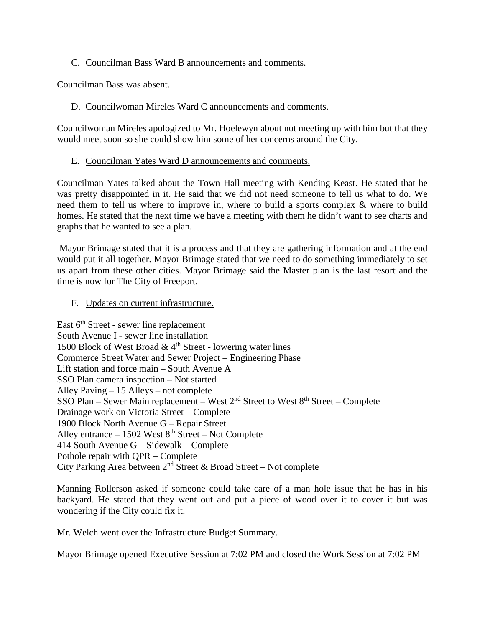## C. Councilman Bass Ward B announcements and comments.

Councilman Bass was absent.

## D. Councilwoman Mireles Ward C announcements and comments.

Councilwoman Mireles apologized to Mr. Hoelewyn about not meeting up with him but that they would meet soon so she could show him some of her concerns around the City.

## E. Councilman Yates Ward D announcements and comments.

Councilman Yates talked about the Town Hall meeting with Kending Keast. He stated that he was pretty disappointed in it. He said that we did not need someone to tell us what to do. We need them to tell us where to improve in, where to build a sports complex & where to build homes. He stated that the next time we have a meeting with them he didn't want to see charts and graphs that he wanted to see a plan.

Mayor Brimage stated that it is a process and that they are gathering information and at the end would put it all together. Mayor Brimage stated that we need to do something immediately to set us apart from these other cities. Mayor Brimage said the Master plan is the last resort and the time is now for The City of Freeport.

## F. Updates on current infrastructure.

East  $6<sup>th</sup>$  Street - sewer line replacement South Avenue I - sewer line installation 1500 Block of West Broad  $\&$  4<sup>th</sup> Street - lowering water lines Commerce Street Water and Sewer Project – Engineering Phase Lift station and force main – South Avenue A SSO Plan camera inspection – Not started Alley Paving – 15 Alleys – not complete SSO Plan – Sewer Main replacement – West  $2<sup>nd</sup>$  Street to West  $8<sup>th</sup>$  Street – Complete Drainage work on Victoria Street – Complete 1900 Block North Avenue G – Repair Street Alley entrance  $-1502$  West  $8<sup>th</sup>$  Street – Not Complete 414 South Avenue G – Sidewalk – Complete Pothole repair with QPR – Complete City Parking Area between  $2<sup>nd</sup>$  Street & Broad Street – Not complete

Manning Rollerson asked if someone could take care of a man hole issue that he has in his backyard. He stated that they went out and put a piece of wood over it to cover it but was wondering if the City could fix it.

Mr. Welch went over the Infrastructure Budget Summary.

Mayor Brimage opened Executive Session at 7:02 PM and closed the Work Session at 7:02 PM